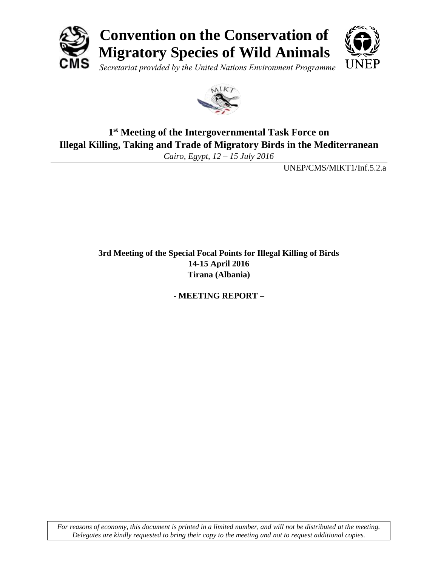



## **1 st Meeting of the Intergovernmental Task Force on Illegal Killing, Taking and Trade of Migratory Birds in the Mediterranean**

*Cairo, Egypt, 12 – 15 July 2016*

UNEP/CMS/MIKT1/Inf.5.2.a

**3rd Meeting of the Special Focal Points for Illegal Killing of Birds 14-15 April 2016 Tirana (Albania)**

**- MEETING REPORT –**

*For reasons of economy, this document is printed in a limited number, and will not be distributed at the meeting. Delegates are kindly requested to bring their copy to the meeting and not to request additional copies.*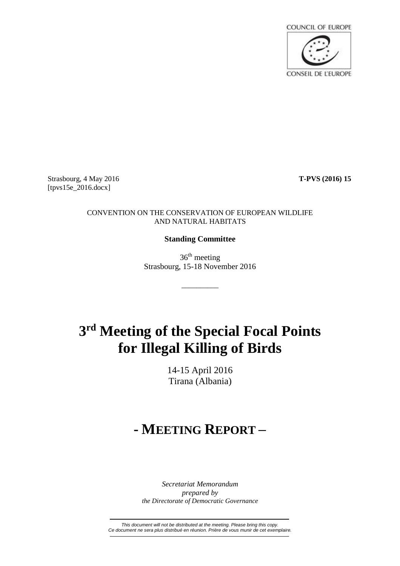

Strasbourg, 4 May 2016 **T-PVS (2016) 15** [tpvs15e\_2016.docx]

#### CONVENTION ON THE CONSERVATION OF EUROPEAN WILDLIFE AND NATURAL HABITATS

### **Standing Committee**

36<sup>th</sup> meeting Strasbourg, 15-18 November 2016

\_\_\_\_\_\_\_\_\_\_

# **3 rd Meeting of the Special Focal Points for Illegal Killing of Birds**

14-15 April 2016 Tirana (Albania)

## **- MEETING REPORT –**

*Secretariat Memorandum prepared by the Directorate of Democratic Governance*

*This document will not be distributed at the meeting. Please bring this copy. Ce document ne sera plus distribué en réunion. Prière de vous munir de cet exemplaire.*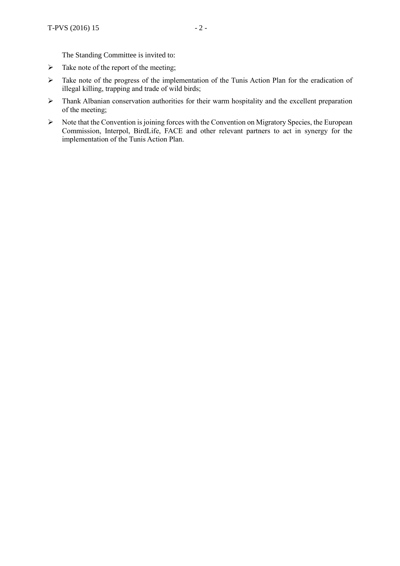- $\triangleright$  Take note of the report of the meeting;
- $\triangleright$  Take note of the progress of the implementation of the Tunis Action Plan for the eradication of illegal killing, trapping and trade of wild birds;
- > Thank Albanian conservation authorities for their warm hospitality and the excellent preparation of the meeting;
- $\triangleright$  Note that the Convention is joining forces with the Convention on Migratory Species, the European Commission, Interpol, BirdLife, FACE and other relevant partners to act in synergy for the implementation of the Tunis Action Plan.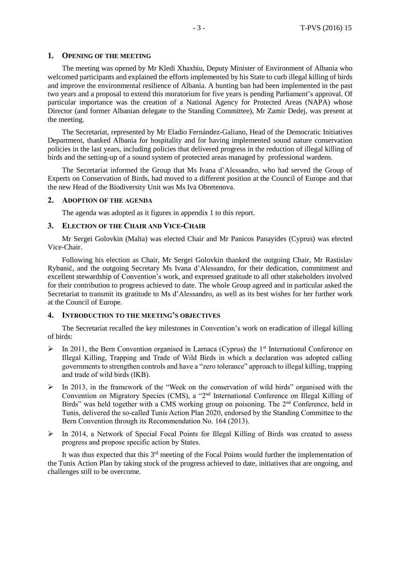#### **1. OPENING OF THE MEETING**

The meeting was opened by Mr Kledi Xhaxhiu, Deputy Minister of Environment of Albania who welcomed participants and explained the efforts implemented by his State to curb illegal killing of birds and improve the environmental resilience of Albania. A hunting ban had been implemented in the past two years and a proposal to extend this moratorium for five years is pending Parliament's approval. Of particular importance was the creation of a National Agency for Protected Areas (NAPA) whose Director (and former Albanian delegate to the Standing Committee), Mr Zamir Dedej, was present at the meeting.

The Secretariat, represented by Mr Eladio Fernández-Galiano, Head of the Democratic Initiatives Department, thanked Albania for hospitality and for having implemented sound nature conservation policies in the last years, including policies that delivered progress in the reduction of illegal killing of birds and the setting-up of a sound system of protected areas managed by professional wardens.

The Secretariat informed the Group that Ms Ivana d'Alessandro, who had served the Group of Experts on Conservation of Birds, had moved to a different position at the Council of Europe and that the new Head of the Biodiversity Unit was Ms Iva Obretenova.

#### **2. ADOPTION OF THE AGENDA**

The agenda was adopted as it figures in appendix 1 to this report.

#### **3. ELECTION OF THE CHAIR AND VICE-CHAIR**

Mr Sergei Golovkin (Malta) was elected Chair and Mr Panicos Panayides (Cyprus) was elected Vice-Chair.

Following his election as Chair, Mr Sergei Golovkin thanked the outgoing Chair, Mr Rastislav Rybanič, and the outgoing Secretary Ms Ivana d'Alessandro, for their dedication, commitment and excellent stewardship of Convention's work, and expressed gratitude to all other stakeholders involved for their contribution to progress achieved to date. The whole Group agreed and in particular asked the Secretariat to transmit its gratitude to Ms d'Alessandro, as well as its best wishes for her further work at the Council of Europe.

#### **4. INTRODUCTION TO THE MEETING'S OBJECTIVES**

The Secretariat recalled the key milestones in Convention's work on eradication of illegal killing of birds:

- $\triangleright$  In 2011, the Bern Convention organised in Larnaca (Cyprus) the 1<sup>st</sup> International Conference on Illegal Killing, Trapping and Trade of Wild Birds in which a declaration was adopted calling governments to strengthen controls and have a "zero tolerance" approach to illegal killing, trapping and trade of wild birds (IKB).
- $\triangleright$  In 2013, in the framework of the "Week on the conservation of wild birds" organised with the Convention on Migratory Species (CMS), a "2nd International Conference on Illegal Killing of Birds" was held together with a CMS working group on poisoning. The 2<sup>nd</sup> Conference, held in Tunis, delivered the so-called Tunis Action Plan 2020, endorsed by the Standing Committee to the Bern Convention through its Recommendation No. 164 (2013).
- $\triangleright$  In 2014, a Network of Special Focal Points for Illegal Killing of Birds was created to assess progress and propose specific action by States.

It was thus expected that this 3<sup>rd</sup> meeting of the Focal Points would further the implementation of the Tunis Action Plan by taking stock of the progress achieved to date, initiatives that are ongoing, and challenges still to be overcome.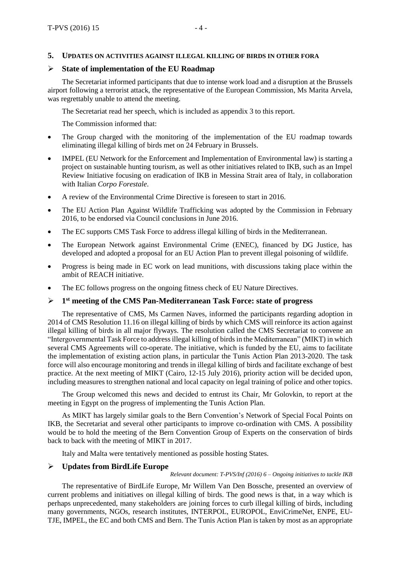#### **5. UPDATES ON ACTIVITIES AGAINST ILLEGAL KILLING OF BIRDS IN OTHER FORA**

#### **State of implementation of the EU Roadmap**

The Secretariat informed participants that due to intense work load and a disruption at the Brussels airport following a terrorist attack, the representative of the European Commission, Ms Marita Arvela, was regrettably unable to attend the meeting.

The Secretariat read her speech, which is included as appendix 3 to this report.

The Commission informed that:

- The Group charged with the monitoring of the implementation of the EU roadmap towards eliminating illegal killing of birds met on 24 February in Brussels.
- IMPEL (EU Network for the Enforcement and Implementation of Environmental law) is starting a project on sustainable hunting tourism, as well as other initiatives related to IKB, such as an Impel Review Initiative focusing on eradication of IKB in Messina Strait area of Italy, in collaboration with Italian *Corpo Forestale*.
- A review of the Environmental Crime Directive is foreseen to start in 2016.
- The EU Action Plan Against Wildlife Trafficking was adopted by the Commission in February 2016, to be endorsed via Council conclusions in June 2016.
- The EC supports CMS Task Force to address illegal killing of birds in the Mediterranean.
- The European Network against Environmental Crime (ENEC), financed by DG Justice, has developed and adopted a proposal for an EU Action Plan to prevent illegal poisoning of wildlife.
- Progress is being made in EC work on lead munitions, with discussions taking place within the ambit of REACH initiative.
- The EC follows progress on the ongoing fitness check of EU Nature Directives.

#### $\triangleright$ **st meeting of the CMS Pan-Mediterranean Task Force: state of progress**

The representative of CMS, Ms Carmen Naves, informed the participants regarding adoption in 2014 of CMS Resolution 11.16 on illegal killing of birds by which CMS will reinforce its action against illegal killing of birds in all major flyways. The resolution called the CMS Secretariat to convene an "Intergovernmental Task Force to addressillegal killing of birdsin the Mediterranean" (MIKT) in which several CMS Agreements will co-operate. The initiative, which is funded by the EU, aims to facilitate the implementation of existing action plans, in particular the Tunis Action Plan 2013-2020. The task force will also encourage monitoring and trends in illegal killing of birds and facilitate exchange of best practice. At the next meeting of MIKT (Cairo, 12-15 July 2016), priority action will be decided upon, including measures to strengthen national and local capacity on legal training of police and other topics.

The Group welcomed this news and decided to entrust its Chair, Mr Golovkin, to report at the meeting in Egypt on the progress of implementing the Tunis Action Plan.

As MIKT has largely similar goals to the Bern Convention's Network of Special Focal Points on IKB, the Secretariat and several other participants to improve co-ordination with CMS. A possibility would be to hold the meeting of the Bern Convention Group of Experts on the conservation of birds back to back with the meeting of MIKT in 2017.

Italy and Malta were tentatively mentioned as possible hosting States.

#### **Updates from BirdLife Europe**

#### *Relevant document: T-PVS/Inf (2016) 6 – Ongoing initiatives to tackle IKB*

The representative of BirdLife Europe, Mr Willem Van Den Bossche, presented an overview of current problems and initiatives on illegal killing of birds. The good news is that, in a way which is perhaps unprecedented, many stakeholders are joining forces to curb illegal killing of birds, including many governments, NGOs, research institutes, INTERPOL, EUROPOL, EnviCrimeNet, ENPE, EU-TJE, IMPEL, the EC and both CMS and Bern. The Tunis Action Plan is taken by most as an appropriate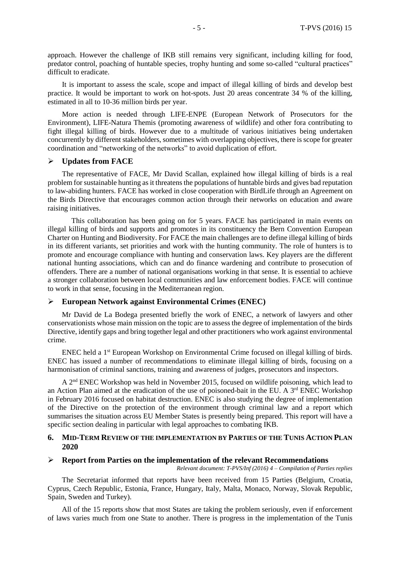approach. However the challenge of IKB still remains very significant, including killing for food, predator control, poaching of huntable species, trophy hunting and some so-called "cultural practices" difficult to eradicate.

It is important to assess the scale, scope and impact of illegal killing of birds and develop best practice. It would be important to work on hot-spots. Just 20 areas concentrate 34 % of the killing, estimated in all to 10-36 million birds per year.

More action is needed through LIFE-ENPE (European Network of Prosecutors for the Environment), LIFE-Natura Themis (promoting awareness of wildlife) and other fora contributing to fight illegal killing of birds. However due to a multitude of various initiatives being undertaken concurrently by different stakeholders, sometimes with overlapping objectives, there is scope for greater coordination and "networking of the networks" to avoid duplication of effort.

#### **Updates from FACE**

The representative of FACE, Mr David Scallan, explained how illegal killing of birds is a real problem for sustainable hunting as it threatensthe populations of huntable birds and gives bad reputation to law-abiding hunters. FACE has worked in close cooperation with BirdLife through an Agreement on the Birds Directive that encourages common action through their networks on education and aware raising initiatives.

This collaboration has been going on for 5 years. FACE has participated in main events on illegal killing of birds and supports and promotes in its constituency the Bern Convention European Charter on Hunting and Biodiversity. For FACE the main challenges are to define illegal killing of birds in its different variants, set priorities and work with the hunting community. The role of hunters is to promote and encourage compliance with hunting and conservation laws. Key players are the different national hunting associations, which can and do finance wardening and contribute to prosecution of offenders. There are a number of national organisations working in that sense. It is essential to achieve a stronger collaboration between local communities and law enforcement bodies. FACE will continue to work in that sense, focusing in the Mediterranean region.

#### **European Network against Environmental Crimes (ENEC)**

Mr David de La Bodega presented briefly the work of ENEC, a network of lawyers and other conservationists whose main mission on the topic are to assess the degree of implementation of the birds Directive, identify gaps and bring together legal and other practitioners who work against environmental crime.

ENEC held a 1<sup>st</sup> European Workshop on Environmental Crime focused on illegal killing of birds. ENEC has issued a number of recommendations to eliminate illegal killing of birds, focusing on a harmonisation of criminal sanctions, training and awareness of judges, prosecutors and inspectors.

A 2<sup>nd</sup> ENEC Workshop was held in November 2015, focused on wildlife poisoning, which lead to an Action Plan aimed at the eradication of the use of poisoned-bait in the EU. A 3<sup>rd</sup> ENEC Workshop in February 2016 focused on habitat destruction. ENEC is also studying the degree of implementation of the Directive on the protection of the environment through criminal law and a report which summarises the situation across EU Member States is presently being prepared. This report will have a specific section dealing in particular with legal approaches to combating IKB.

#### **6. MID-TERM REVIEW OF THE IMPLEMENTATION BY PARTIES OF THE TUNIS ACTION PLAN 2020**

#### **Report from Parties on the implementation of the relevant Recommendations**

*Relevant document: T-PVS/Inf (2016) 4 – Compilation of Parties replies*

The Secretariat informed that reports have been received from 15 Parties (Belgium, Croatia, Cyprus, Czech Republic, Estonia, France, Hungary, Italy, Malta, Monaco, Norway, Slovak Republic, Spain, Sweden and Turkey).

All of the 15 reports show that most States are taking the problem seriously, even if enforcement of laws varies much from one State to another. There is progress in the implementation of the Tunis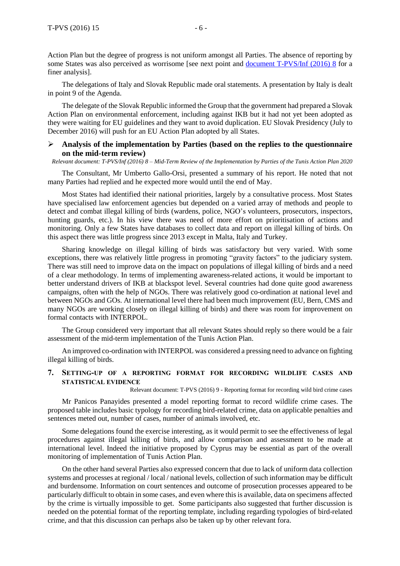finer analysis].

The delegations of Italy and Slovak Republic made oral statements. A presentation by Italy is dealt in point 9 of the Agenda.

The delegate of the Slovak Republic informed the Group that the government had prepared a Slovak Action Plan on environmental enforcement, including against IKB but it had not yet been adopted as they were waiting for EU guidelines and they want to avoid duplication. EU Slovak Presidency (July to December 2016) will push for an EU Action Plan adopted by all States.

#### **Analysis of the implementation by Parties (based on the replies to the questionnaire on the mid-term review)**

Relevant document: T-PVS/Inf (2016) 8 - Mid-Term Review of the Implementation by Parties of the Tunis Action Plan 2020

The Consultant, Mr Umberto Gallo-Orsi, presented a summary of his report. He noted that not many Parties had replied and he expected more would until the end of May.

Most States had identified their national priorities, largely by a consultative process. Most States have specialised law enforcement agencies but depended on a varied array of methods and people to detect and combat illegal killing of birds (wardens, police, NGO's volunteers, prosecutors, inspectors, hunting guards, etc.). In his view there was need of more effort on prioritisation of actions and monitoring. Only a few States have databases to collect data and report on illegal killing of birds. On this aspect there was little progress since 2013 except in Malta, Italy and Turkey.

Sharing knowledge on illegal killing of birds was satisfactory but very varied. With some exceptions, there was relatively little progress in promoting "gravity factors" to the judiciary system. There was still need to improve data on the impact on populations of illegal killing of birds and a need of a clear methodology. In terms of implementing awareness-related actions, it would be important to better understand drivers of IKB at blackspot level. Several countries had done quite good awareness campaigns, often with the help of NGOs. There was relatively good co-ordination at national level and between NGOs and GOs. At international level there had been much improvement (EU, Bern, CMS and many NGOs are working closely on illegal killing of birds) and there was room for improvement on formal contacts with INTERPOL.

The Group considered very important that all relevant States should reply so there would be a fair assessment of the mid-term implementation of the Tunis Action Plan.

An improved co-ordination with INTERPOL was considered a pressing need to advance on fighting illegal killing of birds.

#### **7. SETTING-UP OF A REPORTING FORMAT FOR RECORDING WILDLIFE CASES AND STATISTICAL EVIDENCE**

Relevant document: T-PVS (2016) 9 - Reporting format for recording wild bird crime cases

Mr Panicos Panayides presented a model reporting format to record wildlife crime cases. The proposed table includes basic typology for recording bird-related crime, data on applicable penalties and sentences meted out, number of cases, number of animals involved, etc.

Some delegations found the exercise interesting, as it would permit to see the effectiveness of legal procedures against illegal killing of birds, and allow comparison and assessment to be made at international level. Indeed the initiative proposed by Cyprus may be essential as part of the overall monitoring of implementation of Tunis Action Plan.

On the other hand several Parties also expressed concern that due to lack of uniform data collection systems and processes at regional / local / national levels, collection of such information may be difficult and burdensome. Information on court sentences and outcome of prosecution processes appeared to be particularly difficult to obtain in some cases, and even where thisis available, data on specimens affected by the crime is virtually impossible to get. Some participants also suggested that further discussion is needed on the potential format of the reporting template, including regarding typologies of bird-related crime, and that this discussion can perhaps also be taken up by other relevant fora.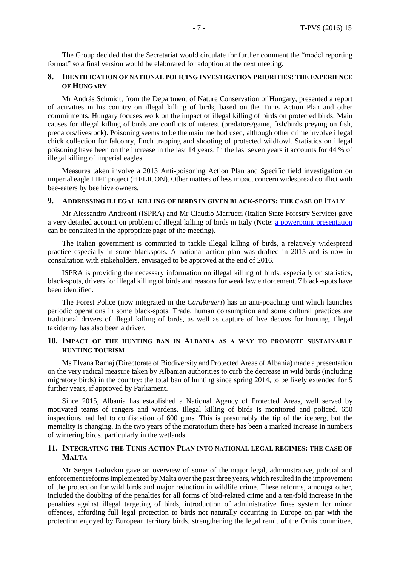The Group decided that the Secretariat would circulate for further comment the "model reporting format" so a final version would be elaborated for adoption at the next meeting.

#### **8. IDENTIFICATION OF NATIONAL POLICING INVESTIGATION PRIORITIES: THE EXPERIENCE OF HUNGARY**

Mr András Schmidt, from the Department of Nature Conservation of Hungary, presented a report of activities in his country on illegal killing of birds, based on the Tunis Action Plan and other commitments. Hungary focuses work on the impact of illegal killing of birds on protected birds. Main causes for illegal killing of birds are conflicts of interest (predators/game, fish/birds preying on fish, predators/livestock). Poisoning seems to be the main method used, although other crime involve illegal chick collection for falconry, finch trapping and shooting of protected wildfowl. Statistics on illegal poisoning have been on the increase in the last 14 years. In the last seven years it accounts for 44 % of illegal killing of imperial eagles.

Measures taken involve a 2013 Anti-poisoning Action Plan and Specific field investigation on imperial eagle LIFE project (HELICON). Other matters of less impact concern widespread conflict with bee-eaters by bee hive owners.

#### **9. ADDRESSING ILLEGAL KILLING OF BIRDS IN GIVEN BLACK-SPOTS: THE CASE OF ITALY**

Mr Alessandro Andreotti (ISPRA) and Mr Claudio Marrucci (Italian State Forestry Service) gave a very detailed account on problem of illegal killing of birds in Italy (Note: a powerpoint [presentation](https://rm.coe.int/CoERMPublicCommonSearchServices/sso/SSODisplayDCTMContent?documentId=0900001680645201&ticket=ST-197090-3EPOYbbtGPJRs7hvzIDn-cas) can be consulted in the appropriate page of the meeting).

The Italian government is committed to tackle illegal killing of birds, a relatively widespread practice especially in some blackspots. A national action plan was drafted in 2015 and is now in consultation with stakeholders, envisaged to be approved at the end of 2016.

ISPRA is providing the necessary information on illegal killing of birds, especially on statistics, black-spots, drivers for illegal killing of birds and reasons for weak law enforcement. 7 black-spots have been identified.

The Forest Police (now integrated in the *Carabinieri*) has an anti-poaching unit which launches periodic operations in some black-spots. Trade, human consumption and some cultural practices are traditional drivers of illegal killing of birds, as well as capture of live decoys for hunting. Illegal taxidermy has also been a driver.

#### **10. IMPACT OF THE HUNTING BAN IN ALBANIA AS A WAY TO PROMOTE SUSTAINABLE HUNTING TOURISM**

Ms Elvana Ramaj (Directorate of Biodiversity and Protected Areas of Albania) made a presentation on the very radical measure taken by Albanian authorities to curb the decrease in wild birds (including migratory birds) in the country: the total ban of hunting since spring 2014, to be likely extended for 5 further years, if approved by Parliament.

Since 2015, Albania has established a National Agency of Protected Areas, well served by motivated teams of rangers and wardens. Illegal killing of birds is monitored and policed. 650 inspections had led to confiscation of 600 guns. This is presumably the tip of the iceberg, but the mentality is changing. In the two years of the moratorium there has been a marked increase in numbers of wintering birds, particularly in the wetlands.

#### **11. INTEGRATING THE TUNIS ACTION PLAN INTO NATIONAL LEGAL REGIMES: THE CASE OF MALTA**

Mr Sergei Golovkin gave an overview of some of the major legal, administrative, judicial and enforcement reformsimplemented by Malta over the past three years, which resulted in the improvement of the protection for wild birds and major reduction in wildlife crime. These reforms, amongst other, included the doubling of the penalties for all forms of bird-related crime and a ten-fold increase in the penalties against illegal targeting of birds, introduction of administrative fines system for minor offences, affording full legal protection to birds not naturally occurring in Europe on par with the protection enjoyed by European territory birds, strengthening the legal remit of the Ornis committee,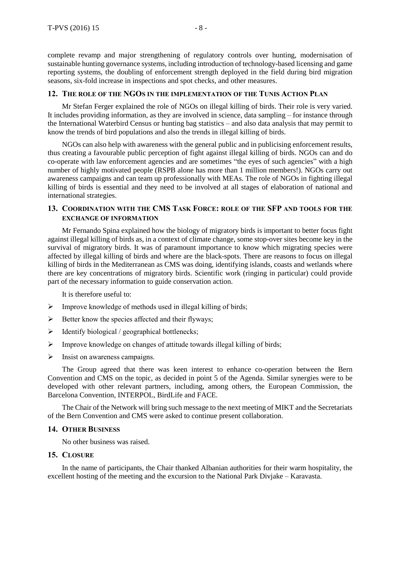complete revamp and major strengthening of regulatory controls over hunting, modernisation of sustainable hunting governance systems, including introduction of technology-based licensing and game reporting systems, the doubling of enforcement strength deployed in the field during bird migration seasons, six-fold increase in inspections and spot checks, and other measures.

#### **12. THE ROLE OF THE NGOS IN THE IMPLEMENTATION OF THE TUNIS ACTION PLAN**

Mr Stefan Ferger explained the role of NGOs on illegal killing of birds. Their role is very varied. It includes providing information, as they are involved in science, data sampling – for instance through the International Waterbird Census or hunting bag statistics – and also data analysis that may permit to know the trends of bird populations and also the trends in illegal killing of birds.

NGOs can also help with awareness with the general public and in publicising enforcement results, thus creating a favourable public perception of fight against illegal killing of birds. NGOs can and do co-operate with law enforcement agencies and are sometimes "the eyes of such agencies" with a high number of highly motivated people (RSPB alone has more than 1 million members!). NGOs carry out awareness campaigns and can team up professionally with MEAs. The role of NGOs in fighting illegal killing of birds is essential and they need to be involved at all stages of elaboration of national and international strategies.

#### **13. COORDINATION WITH THE CMS TASK FORCE: ROLE OF THE SFP AND TOOLS FOR THE EXCHANGE OF INFORMATION**

Mr Fernando Spina explained how the biology of migratory birds is important to better focus fight against illegal killing of birds as, in a context of climate change, some stop-over sites become key in the survival of migratory birds. It was of paramount importance to know which migrating species were affected by illegal killing of birds and where are the black-spots. There are reasons to focus on illegal killing of birds in the Mediterranean as CMS was doing, identifying islands, coasts and wetlands where there are key concentrations of migratory birds. Scientific work (ringing in particular) could provide part of the necessary information to guide conservation action.

It is therefore useful to:

- $\triangleright$  Improve knowledge of methods used in illegal killing of birds;
- $\triangleright$  Better know the species affected and their flyways;
- $\triangleright$  Identify biological / geographical bottlenecks;
- $\triangleright$  Improve knowledge on changes of attitude towards illegal killing of birds;
- $\triangleright$  Insist on awareness campaigns.

The Group agreed that there was keen interest to enhance co-operation between the Bern Convention and CMS on the topic, as decided in point 5 of the Agenda. Similar synergies were to be developed with other relevant partners, including, among others, the European Commission, the Barcelona Convention, INTERPOL, BirdLife and FACE.

The Chair of the Network will bring such message to the next meeting of MIKT and the Secretariats of the Bern Convention and CMS were asked to continue present collaboration.

#### **14. OTHER BUSINESS**

No other business was raised.

#### **15. CLOSURE**

In the name of participants, the Chair thanked Albanian authorities for their warm hospitality, the excellent hosting of the meeting and the excursion to the National Park Divjake – Karavasta.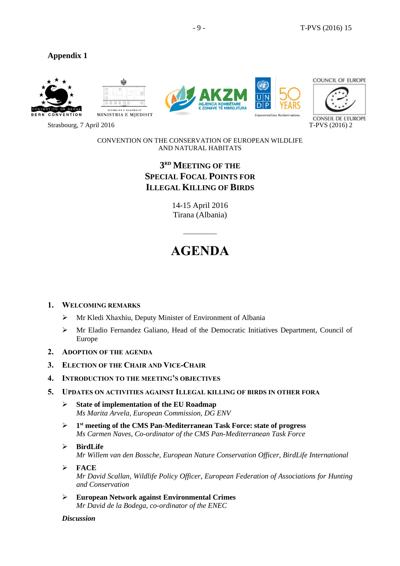### **Appendix 1**









CONSEIL DE L'EUROPE

Strasbourg, 7 April 2016 T-PVS (2016) 2

CONVENTION ON THE CONSERVATION OF EUROPEAN WILDLIFE AND NATURAL HABITATS

## **3 RD MEETING OF THE SPECIAL FOCAL POINTS FOR ILLEGAL KILLING OF BIRDS**

14-15 April 2016 Tirana (Albania)

## **AGENDA**

 $\overline{\phantom{a}}$ 

#### **1. WELCOMING REMARKS**

- Mr Kledi Xhaxhiu, Deputy Minister of Environment of Albania
- $\triangleright$  Mr Eladio Fernandez Galiano, Head of the Democratic Initiatives Department, Council of Europe
- **2. ADOPTION OF THE AGENDA**
- **3. ELECTION OF THE CHAIR AND VICE-CHAIR**
- **4. INTRODUCTION TO THE MEETING'S OBJECTIVES**
- **5. UPDATES ON ACTIVITIES AGAINST ILLEGAL KILLING OF BIRDS IN OTHER FORA**
	- **State of implementation of the EU Roadmap** *Ms Marita Arvela, European Commission, DG ENV*
	- $\triangleright$ **st meeting of the CMS Pan-Mediterranean Task Force: state of progress** *Ms Carmen Naves, Co-ordinator of the CMS Pan-Mediterranean Task Force*
	- **BirdLife** *Mr Willem van den Bossche, European Nature Conservation Officer, BirdLife International*
	- **FACE** *Mr David Scallan, Wildlife Policy Officer, European Federation of Associations for Hunting and Conservation*
	- **European Network against Environmental Crimes** *Mr David de la Bodega, co-ordinator of the ENEC*

*Discussion*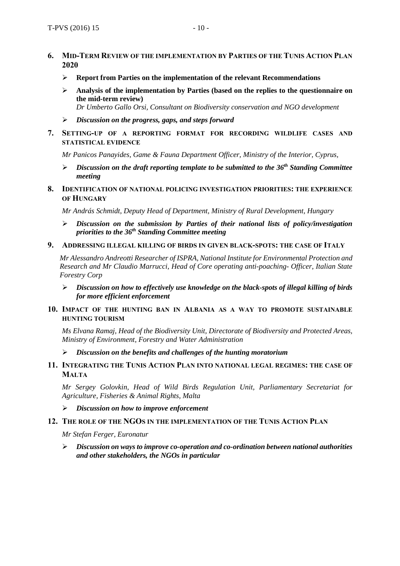- **6. MID-TERM REVIEW OF THE IMPLEMENTATION BY PARTIES OF THE TUNIS ACTION PLAN 2020**
	- **Report from Parties on the implementation of the relevant Recommendations**
	- **Analysis of the implementation by Parties (based on the replies to the questionnaire on the mid-term review)**

*Dr Umberto Gallo Orsi, Consultant on Biodiversity conservation and NGO development*

- *Discussion on the progress, gaps, and steps forward*
- **7. SETTING-UP OF A REPORTING FORMAT FOR RECORDING WILDLIFE CASES AND STATISTICAL EVIDENCE**

*Mr Panicos Panayides, Game & Fauna Department Officer, Ministry of the Interior, Cyprus,* 

- *Discussion on the draft reporting template to be submitted to the 36th Standing Committee meeting*
- **8. IDENTIFICATION OF NATIONAL POLICING INVESTIGATION PRIORITIES: THE EXPERIENCE OF HUNGARY**

*Mr András Schmidt, Deputy Head of Department, Ministry of Rural Development, Hungary* 

- *Discussion on the submission by Parties of their national lists of policy/investigation priorities to the 36th Standing Committee meeting*
- **9. ADDRESSING ILLEGAL KILLING OF BIRDS IN GIVEN BLACK-SPOTS: THE CASE OF ITALY**

*Mr Alessandro Andreotti Researcher of ISPRA, National Institute for Environmental Protection and Research and Mr Claudio Marrucci, Head of Core operating anti-poaching- Officer, Italian State Forestry Corp*

- *Discussion on how to effectively use knowledge on the black-spots of illegal killing of birds for more efficient enforcement*
- **10. IMPACT OF THE HUNTING BAN IN ALBANIA AS A WAY TO PROMOTE SUSTAINABLE HUNTING TOURISM**

*Ms Elvana Ramaj, Head of the Biodiversity Unit, Directorate of Biodiversity and Protected Areas, Ministry of Environment, Forestry and Water Administration*

- *Discussion on the benefits and challenges of the hunting moratorium*
- **11. INTEGRATING THE TUNIS ACTION PLAN INTO NATIONAL LEGAL REGIMES: THE CASE OF MALTA**

*Mr Sergey Golovkin, Head of Wild Birds Regulation Unit, Parliamentary Secretariat for Agriculture, Fisheries & Animal Rights, Malta*

*Discussion on how to improve enforcement*

#### **12. THE ROLE OF THE NGOS IN THE IMPLEMENTATION OF THE TUNIS ACTION PLAN**

*Mr Stefan Ferger, Euronatur*

 *Discussion on ways to improve co-operation and co-ordination between national authorities and other stakeholders, the NGOs in particular*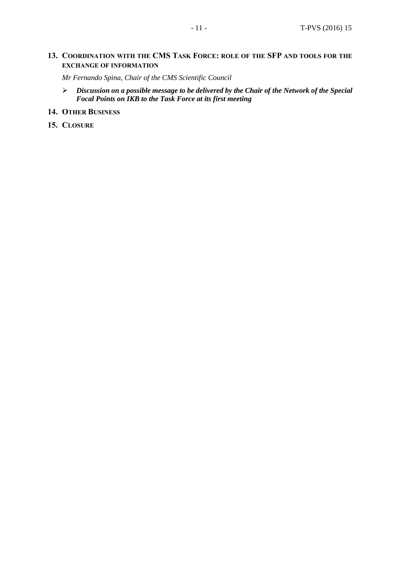#### **13. COORDINATION WITH THE CMS TASK FORCE: ROLE OF THE SFP AND TOOLS FOR THE EXCHANGE OF INFORMATION**

*Mr Fernando Spina, Chair of the CMS Scientific Council*

 *Discussion on a possible message to be delivered by the Chair of the Network of the Special Focal Points on IKB to the Task Force at its first meeting*

#### **14. OTHER BUSINESS**

**15. CLOSURE**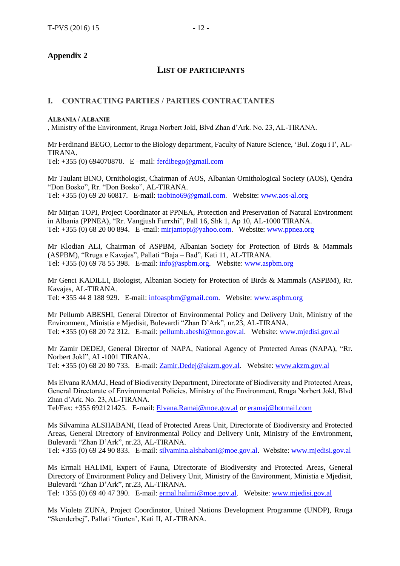### **Appendix 2**

#### **LIST OF PARTICIPANTS**

#### **I. CONTRACTING PARTIES / PARTIES CONTRACTANTES**

#### **ALBANIA / ALBANIE**

, Ministry of the Environment, Rruga Norbert Jokl, Blvd Zhan d'Ark. No. 23, AL-TIRANA.

Mr Ferdinand BEGO, Lector to the Biology department, Faculty of Nature Science, 'Bul. Zogu i I', AL-TIRANA. Tel: +355 (0) 694070870. E –mail: [ferdibego@gmail.com](mailto:ferdibego@gmail.com)

Mr Taulant BINO, Ornithologist, Chairman of AOS, Albanian Ornithological Society (AOS), Qendra "Don Bosko", Rr. "Don Bosko", AL-TIRANA. Tel: +355 (0) 69 20 60817. E-mail: [taobino69@gmail.com.](mailto:taobino69@gmail.com) Website: [www.aos-al.org](http://www.aos-al.org/)

Mr Mirjan TOPI, Project Coordinator at PPNEA, Protection and Preservation of Natural Environment in Albania (PPNEA), "Rr. Vangjush Furrxhi", Pall 16, Shk 1, Ap 10, AL-1000 TIRANA. Tel:  $+355(0)$  68 20 00 894. E -mail: [mirjantopi@yahoo.com.](mailto:mirjantopi@yahoo.com) Website: [www.ppnea.org](http://www.ppnea.org/)

Mr Klodian ALI, Chairman of ASPBM, Albanian Society for Protection of Birds & Mammals (ASPBM), "Rruga e Kavajes", Pallati "Baja – Bad", Kati 11, AL-TIRANA. Tel: [+355](tel:%2B355697855398) (0) 69 78 55 398. E-mail: [info@aspbm.org.](mailto:info@aspbm.org) Website: [www.aspbm.org](http://www.aspbm.org/)

Mr Genci KADILLI, Biologist, Albanian Society for Protection of Birds & Mammals (ASPBM), Rr. Kavajes, AL-TIRANA. Tel: +355 44 8 188 929. E-mail: [infoaspbm@gmail.com.](mailto:infoaspbm@gmail.com) Website: [www.aspbm.org](http://www.aspbm.org/)

Mr Pellumb ABESHI, General Director of Environmental Policy and Delivery Unit, Ministry of the Environment, Ministia e Mjedisit, Bulevardi "Zhan D'Ark", nr.23, AL-TIRANA. Tel: +355 (0) 68 20 72 312. E-mail: [pellumb.abeshi@moe.gov.al.](mailto:pellumb.abeshi@moe.gov.al) Website: [www.mjedisi.gov.al](http://www.mjedisi.gov.al/)

Mr Zamir DEDEJ, General Director of NAPA, National Agency of Protected Areas (NAPA), "Rr. Norbert Jokl", AL-1001 TIRANA. Tel: +355 (0) 68 20 80 733. E-mail: [Zamir.Dedej@akzm.gov.al.](mailto:Zamir.Dedej@akzm.gov.al) Website: [www.akzm.gov.al](http://www.akzm.gov.al/)

Ms Elvana RAMAJ, Head of Biodiversity Department, Directorate of Biodiversity and Protected Areas, General Directorate of Environmental Policies, Ministry of the Environment, Rruga Norbert Jokl, Blvd Zhan d'Ark. No. 23, AL-TIRANA.

Tel/Fax: +355 692121425. E-mail: [Elvana.Ramaj@moe.gov.al](mailto:Elvana.Ramaj@moe.gov.al) or [eramaj@hotmail.com](mailto:eramaj@hotmail.com)

Ms Silvamina ALSHABANI, Head of Protected Areas Unit, Directorate of Biodiversity and Protected Areas, General Directory of Environmental Policy and Delivery Unit, Ministry of the Environment, Bulevardi "Zhan D'Ark", nr.23, AL-TIRANA.

Tel: +355 (0) 69 24 90 833. E-mail: [silvamina.alshabani@moe.gov.al.](mailto:silvamina.alshabani@moe.gov.al) Website: [www.mjedisi.gov.al](http://www.mjedisi.gov.al/)

Ms Ermali HALIMI, Expert of Fauna, Directorate of Biodiversity and Protected Areas, General Directory of Environment Policy and Delivery Unit, Ministry of the Environment, Ministia e Mjedisit, Bulevardi "Zhan D'Ark", nr.23, AL-TIRANA.

Tel: +355 (0) 69 40 47 390. E-mail: [ermal.halimi@moe.gov.al.](mailto:ermal.halimi@moe.gov.al) Website: [www.mjedisi.gov.al](http://www.mjedisi.gov.al/)

Ms Violeta ZUNA, Project Coordinator, United Nations Development Programme (UNDP), Rruga "Skenderbej", Pallati 'Gurten', Kati II, AL-TIRANA.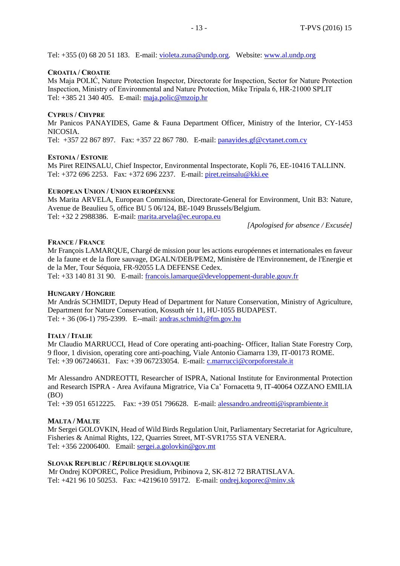Tel: +355 (0) 68 20 51 183. E-mail: [violeta.zuna@undp.org.](mailto:violeta.zuna@undp.org) Website: [www.al.undp.org](http://www.al.undp.org/)

#### **CROATIA / CROATIE**

Ms Maja POLIĆ, Nature Protection Inspector, Directorate for Inspection, Sector for Nature Protection Inspection, Ministry of Environmental and Nature Protection, Mike Tripala 6, HR-21000 SPLIT Tel: +385 21 340 405. E-mail: [maja.polic@mzoip.hr](mailto:maja.polic@mzoip.hr)

#### **CYPRUS / CHYPRE**

Mr Panicos PANAYIDES, Game & Fauna Department Officer, Ministry of the Interior, CY-1453 NICOSIA.

Tel: +357 22 867 897. Fax: +357 22 867 780. E-mail: [panayides.gf@cytanet.com.cy](mailto:panayides.gf@cytanet.com.cy)

#### **ESTONIA / ESTONIE**

Ms Piret REINSALU, Chief Inspector, Environmental Inspectorate, Kopli 76, EE-10416 TALLINN. Tel: +372 696 2253. Fax: +372 696 2237. E-mail: [piret.reinsalu@kki.ee](mailto:piret.reinsalu@kki.ee)

#### **EUROPEAN UNION / UNION EUROPÉENNE**

Ms Marita ARVELA, European Commission, Directorate-General for Environment, Unit B3: Nature, Avenue de Beaulieu 5, office BU 5 06/124, BE-1049 Brussels/Belgium. Tel: +32 2 2988386. E-mail: [marita.arvela@ec.europa.eu](mailto:marita.arvela@ec.europa.eu)

*[Apologised for absence / Excusée]*

#### **FRANCE / FRANCE**

Mr François LAMARQUE, Chargé de mission pour les actions européennes et internationales en faveur de la faune et de la flore sauvage, DGALN/DEB/PEM2, Ministère de l'Environnement, de l'Energie et de la Mer, Tour Séquoia, FR-92055 LA DEFENSE Cedex.

Tel: +33 140 81 31 90. E-mail: [francois.lamarque@developpement-durable.gouv.fr](mailto:francois.lamarque@developpement-durable.gouv.fr)

#### **HUNGARY / HONGRIE**

Mr András SCHMIDT, Deputy Head of Department for Nature Conservation, Ministry of Agriculture, Department for Nature Conservation, Kossuth tér 11, HU-1055 BUDAPEST. Tel:  $+36(06-1)$  795-2399. E--mail: [andras.schmidt@fm.gov.hu](mailto:andras.schmidt@fm.gov.hu)

#### **ITALY / ITALIE**

Mr Claudio MARRUCCI, Head of Core operating anti-poaching- Officer, Italian State Forestry Corp, 9 floor, 1 division, operating core anti-poaching, Viale Antonio Ciamarra 139, IT-00173 ROME. Tel: +39 067246631. Fax: +39 067233054. E-mail: *[c.marrucci@corpoforestale.it](mailto:c.marrucci@corpoforestale.it)* 

Mr Alessandro ANDREOTTI, Researcher of ISPRA, National Institute for Environmental Protection and Research ISPRA - Area Avifauna Migratrice, Via Ca' Fornacetta 9, IT-40064 OZZANO EMILIA (BO)

Tel: +39 051 6512225. Fax: +39 051 796628. E-mail: [alessandro.andreotti@isprambiente.it](mailto:alessandro.andreotti@isprambiente.it)

#### **MALTA / MALTE**

Mr Sergei GOLOVKIN, Head of Wild Birds Regulation Unit, Parliamentary Secretariat for Agriculture, Fisheries & Animal Rights, 122, Quarries Street, MT-SVR1755 STA VENERA. Tel: [+356](mailto:Tel:%20+356) 22006400. Email: [sergei.a.golovkin@gov.mt](mailto:sergei.a.golovkin@gov.mt)

#### **SLOVAK REPUBLIC / RÉPUBLIQUE SLOVAQUIE**

Mr Ondrej KOPOREC, Police Presidium, Pribinova 2, SK-812 72 BRATISLAVA. Tel: +421 96 10 50253. Fax: +4219610 59172. E-mail: [ondrej.koporec@minv.sk](mailto:ondrej.koporec@minv.sk)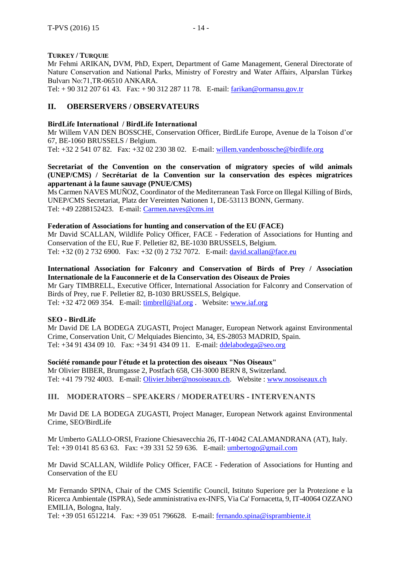#### **TURKEY / TURQUIE**

Mr Fehmi ARIKAN**,** DVM, PhD, Expert, Department of Game Management, General Directorate of Nature Conservation and National Parks, Ministry of Forestry and Water Affairs, Alparslan Türkeş Bulvarı No:71,TR-06510 ANKARA.

Tel: + 90 312 207 61 43. Fax: + 90 312 287 11 78. E-mail: [farikan@ormansu.gov.tr](mailto:farikan@ormansu.gov.tr)

#### **II. OBERSERVERS / OBSERVATEURS**

#### **BirdLife International / BirdLife International**

Mr Willem VAN DEN BOSSCHE, Conservation Officer, BirdLife Europe, Avenue de la Toison d'or 67, BE-1060 BRUSSELS / Belgium.

Tel: +32 2 541 07 82. Fax: +32 02 230 38 02. E-mail: [willem.vandenbossche@birdlife.org](mailto:willem.vandenbossche@birdlife.org)

#### **Secretariat of the Convention on the conservation of migratory species of wild animals (UNEP/CMS) / Secrétariat de la Convention sur la conservation des espèces migratrices appartenant à la faune sauvage (PNUE/CMS)**

Ms Carmen NAVES MUÑOZ, Coordinator of the Mediterranean Task Force on Illegal Killing of Birds, UNEP/CMS Secretariat, Platz der Vereinten Nationen 1, DE-53113 BONN, Germany. Tel: +49 2288152423. E-mail: [Carmen.naves@cms.int](mailto:Carmen.naves@cms.int)

#### **Federation of Associations for hunting and conservation of the EU (FACE)**

Mr David SCALLAN, Wildlife Policy Officer, FACE - Federation of Associations for Hunting and Conservation of the EU, Rue F. Pelletier 82, BE-1030 BRUSSELS, Belgium. Tel: +32 (0) 2 732 6900. Fax: +32 (0) 2 732 7072. E-mail: [david.scallan@face.eu](mailto:david.scallan@face.eu)

## **International Association for Falconry and Conservation of Birds of Prey / Association Internationale de la Fauconnerie et de la Conservation des Oiseaux de Proies**

Mr Gary TIMBRELL, Executive Officer, International Association for Falconry and Conservation of Birds of Prey, rue F. Pelletier 82, B-1030 BRUSSELS, Belgique.

Tel: +32 472 069 354. E-mail: [timbrell@iaf.org](mailto:timbrell@iaf.org) . Website: [www.iaf.org](http://www.iaf.org/)

#### **SEO - BirdLife**

Mr David DE LA BODEGA ZUGASTI, Project Manager, European Network against Environmental Crime, Conservation Unit, C/ Melquiades Biencinto, 34, ES-28053 MADRID, Spain. Tel: +34 91 434 09 10. Fax: +34 91 434 09 11. E-mail: [ddelabodega@seo.org](mailto:ddelabodega@seo.org)

**Société romande pour l'étude et la protection des oiseaux "Nos Oiseaux"** Mr Olivier BIBER, Brumgasse 2, Postfach 658, CH-3000 BERN 8, Switzerland. Tel: +41 79 792 4003. E-mail: [Olivier.biber@nosoiseaux.ch.](mailto:Olivier.biber@nosoiseaux.ch) Website : [www.nosoiseaux.ch](http://www.nosoiseaux.ch/)

### **III. MODERATORS – SPEAKERS / MODERATEURS - INTERVENANTS**

Mr David DE LA BODEGA ZUGASTI, Project Manager, European Network against Environmental Crime, SEO/BirdLife

Mr Umberto GALLO-ORSI, Frazione Chiesavecchia 26, IT-14042 CALAMANDRANA (AT), Italy. Tel: +39 0141 85 63 63. Fax: +39 331 52 59 636. E-mail: [umbertogo@gmail.com](mailto:umbertogo@gmail.com)

Mr David SCALLAN, Wildlife Policy Officer, FACE - Federation of Associations for Hunting and Conservation of the EU

Mr Fernando SPINA, Chair of the CMS Scientific Council, Istituto Superiore per la Protezione e la Ricerca Ambientale (ISPRA), Sede amministrativa ex-INFS, Via Ca' Fornacetta, 9, IT-40064 OZZANO EMILIA, Bologna, Italy.

Tel: +39 051 6512214. Fax: +39 051 796628. E-mail: [fernando.spina@isprambiente.it](mailto:fernando.spina@isprambiente.it)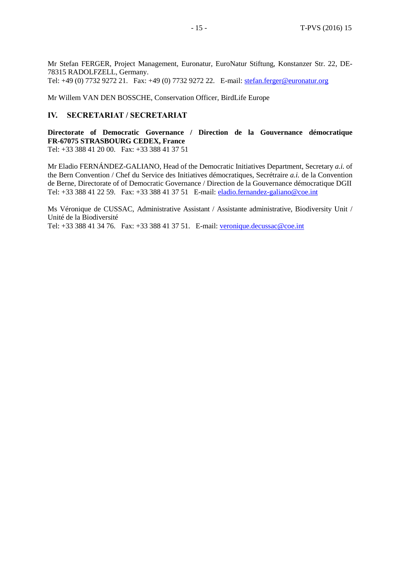Mr Stefan FERGER, Project Management, Euronatur, EuroNatur Stiftung, Konstanzer Str. 22, DE-78315 RADOLFZELL, Germany. Tel: +49 (0) 7732 9272 21. Fax: +49 (0) 7732 9272 22. E-mail: [stefan.ferger@euronatur.org](mailto:stefan.ferger@euronatur.org)

Mr Willem VAN DEN BOSSCHE, Conservation Officer, BirdLife Europe

#### **IV. SECRETARIAT / SECRETARIAT**

**Directorate of Democratic Governance / Direction de la Gouvernance démocratique FR-67075 STRASBOURG CEDEX, France** Tel: +33 388 41 20 00. Fax: +33 388 41 37 51

Mr Eladio FERNÁNDEZ-GALIANO, Head of the Democratic Initiatives Department, Secretary *a.i.* of the Bern Convention / Chef du Service des Initiatives démocratiques, Secrétraire *a.i.* de la Convention de Berne, Directorate of of Democratic Governance / Direction de la Gouvernance démocratique DGII Tel: +33 388 41 22 59. Fax: +33 388 41 37 51 E-mail: [eladio.fernandez-galiano@coe.int](mailto:eladio.fernandezgaliano@coe.fr)

Ms Véronique de CUSSAC, Administrative Assistant / Assistante administrative, Biodiversity Unit / Unité de la Biodiversité Tel: +33 388 41 34 76. Fax: +33 388 41 37 51. E-mail: [veronique.decussac@coe.int](mailto:veronique.decussac@coe.int)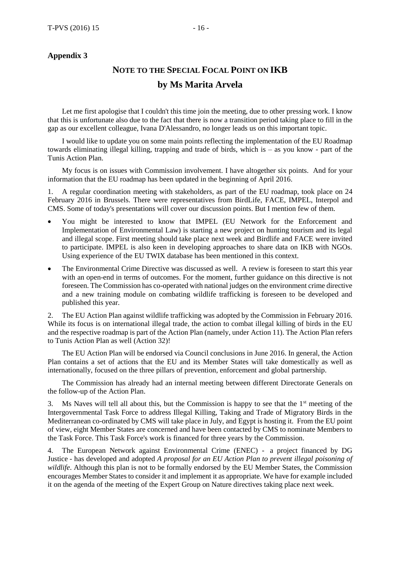#### **Appendix 3**

## **NOTE TO THE SPECIAL FOCAL POINT ON IKB by Ms Marita Arvela**

Let me first apologise that I couldn't this time join the meeting, due to other pressing work. I know that this is unfortunate also due to the fact that there is now a transition period taking place to fill in the gap as our excellent colleague, Ivana D'Alessandro, no longer leads us on this important topic.

I would like to update you on some main points reflecting the implementation of the EU Roadmap towards eliminating illegal killing, trapping and trade of birds, which is – as you know - part of the Tunis Action Plan.

My focus is on issues with Commission involvement. I have altogether six points. And for your information that the EU roadmap has been updated in the beginning of April 2016.

1. A regular coordination meeting with stakeholders, as part of the EU roadmap, took place on 24 February 2016 in Brussels. There were representatives from BirdLife, FACE, IMPEL, Interpol and CMS. Some of today's presentations will cover our discussion points. But I mention few of them.

- You might be interested to know that IMPEL (EU Network for the Enforcement and Implementation of Environmental Law) is starting a new project on hunting tourism and its legal and illegal scope. First meeting should take place next week and Birdlife and FACE were invited to participate. IMPEL is also keen in developing approaches to share data on IKB with NGOs. Using experience of the EU TWIX database has been mentioned in this context.
- The Environmental Crime Directive was discussed as well. A review is foreseen to start this year with an open-end in terms of outcomes. For the moment, further guidance on this directive is not foreseen. The Commission has co-operated with national judges on the environment crime directive and a new training module on combating wildlife trafficking is foreseen to be developed and published this year.

2. The EU Action Plan against wildlife trafficking was adopted by the Commission in February 2016. While its focus is on international illegal trade, the action to combat illegal killing of birds in the EU and the respective roadmap is part of the Action Plan (namely, under Action 11). The Action Plan refers to Tunis Action Plan as well (Action 32)!

The EU Action Plan will be endorsed via Council conclusions in June 2016. In general, the Action Plan contains a set of actions that the EU and its Member States will take domestically as well as internationally, focused on the three pillars of prevention, enforcement and global partnership.

The Commission has already had an internal meeting between different Directorate Generals on the follow-up of the Action Plan.

3. Ms Naves will tell all about this, but the Commission is happy to see that the  $1<sup>st</sup>$  meeting of the Intergovernmental Task Force to address Illegal Killing, Taking and Trade of Migratory Birds in the Mediterranean co-ordinated by CMS will take place in July, and Egypt is hosting it. From the EU point of view, eight Member States are concerned and have been contacted by CMS to nominate Members to the Task Force. This Task Force's work is financed for three years by the Commission.

4. The European Network against Environmental Crime (ENEC) - a project financed by DG Justice - has developed and adopted *A proposal for an EU Action Plan to prevent illegal poisoning of wildlife*. Although this plan is not to be formally endorsed by the EU Member States, the Commission encourages Member States to consider it and implement it as appropriate. We have for example included it on the agenda of the meeting of the Expert Group on Nature directives taking place next week.